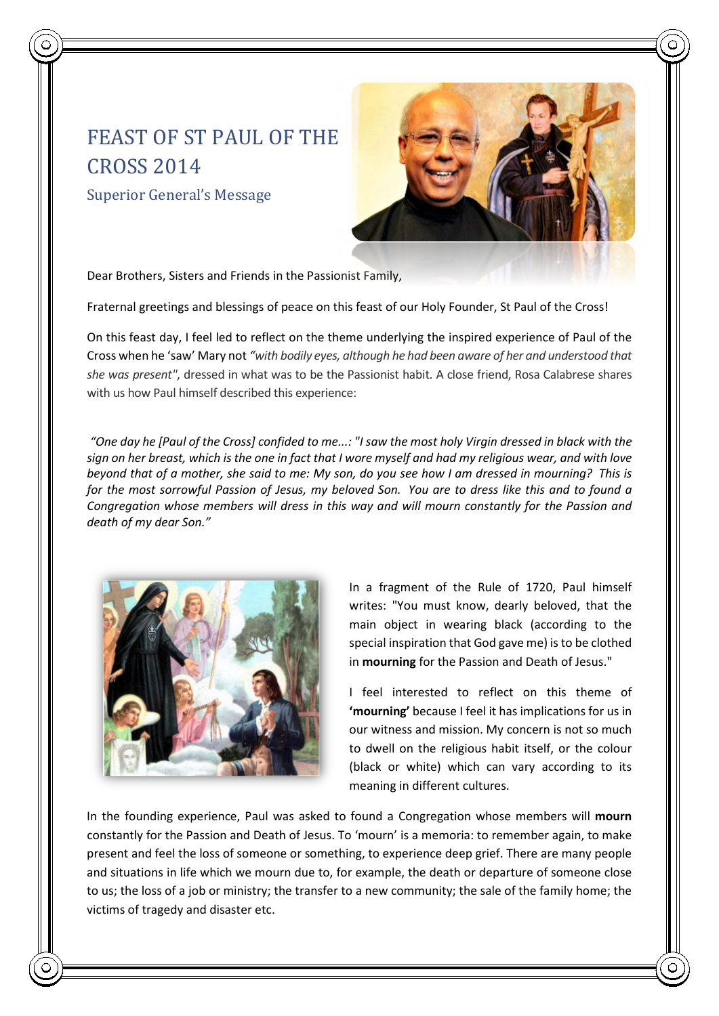## FEAST OF ST PAUL OF THE CROSS 2014

Superior General's Message



Dear Brothers, Sisters and Friends in the Passionist Family,

Fraternal greetings and blessings of peace on this feast of our Holy Founder, St Paul of the Cross!

On this feast day, I feel led to reflect on the theme underlying the inspired experience of Paul of the Cross when he 'saw' Mary not *"with bodily eyes, although he had been aware of her and understood that she was present"*, dressed in what was to be the Passionist habit. A close friend, Rosa Calabrese shares with us how Paul himself described this experience:

*"One day he [Paul of the Cross] confided to me...: "I saw the most holy Virgin dressed in black with the sign on her breast, which is the one in fact that I wore myself and had my religious wear, and with love beyond that of a mother, she said to me: My son, do you see how I am dressed in mourning? This is for the most sorrowful Passion of Jesus, my beloved Son. You are to dress like this and to found a Congregation whose members will dress in this way and will mourn constantly for the Passion and death of my dear Son."*



In a fragment of the Rule of 1720, Paul himself writes: "You must know, dearly beloved, that the main object in wearing black (according to the special inspiration that God gave me) is to be clothed in **mourning** for the Passion and Death of Jesus."

I feel interested to reflect on this theme of **'mourning'** because I feel it has implications for us in our witness and mission. My concern is not so much to dwell on the religious habit itself, or the colour (black or white) which can vary according to its meaning in different cultures.

In the founding experience, Paul was asked to found a Congregation whose members will **mourn** constantly for the Passion and Death of Jesus. To 'mourn' is a memoria: to remember again, to make present and feel the loss of someone or something, to experience deep grief. There are many people and situations in life which we mourn due to, for example, the death or departure of someone close to us; the loss of a job or ministry; the transfer to a new community; the sale of the family home; the victims of tragedy and disaster etc.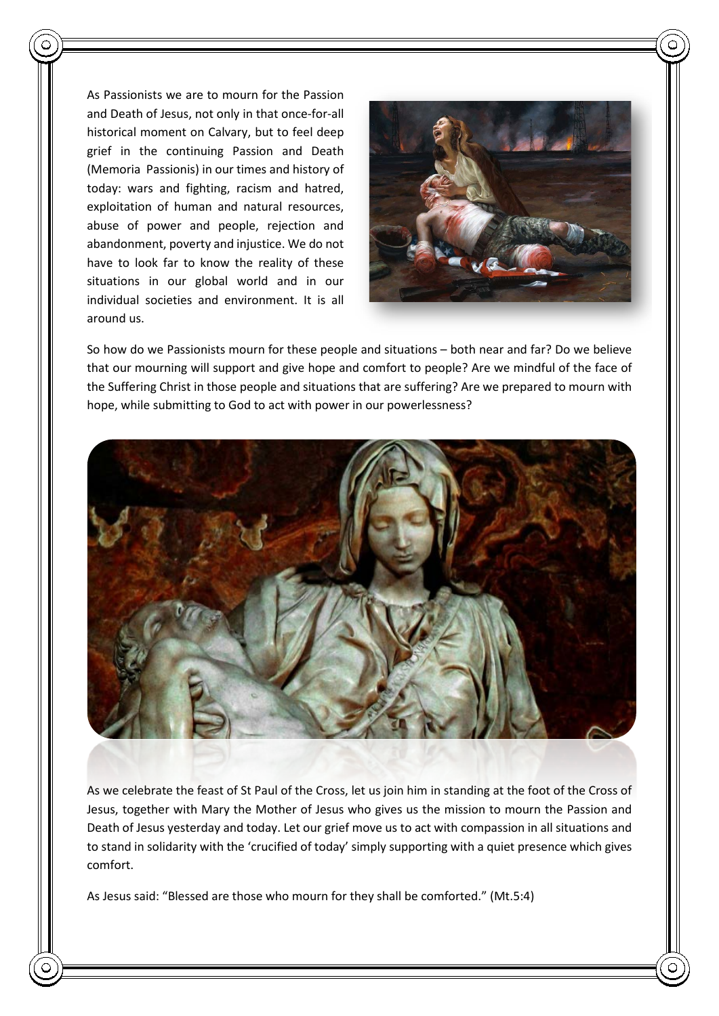As Passionists we are to mourn for the Passion and Death of Jesus, not only in that once-for-all historical moment on Calvary, but to feel deep grief in the continuing Passion and Death (Memoria Passionis) in our times and history of today: wars and fighting, racism and hatred, exploitation of human and natural resources, abuse of power and people, rejection and abandonment, poverty and injustice. We do not have to look far to know the reality of these situations in our global world and in our individual societies and environment. It is all around us.



So how do we Passionists mourn for these people and situations – both near and far? Do we believe that our mourning will support and give hope and comfort to people? Are we mindful of the face of the Suffering Christ in those people and situations that are suffering? Are we prepared to mourn with hope, while submitting to God to act with power in our powerlessness?



As we celebrate the feast of St Paul of the Cross, let us join him in standing at the foot of the Cross of Jesus, together with Mary the Mother of Jesus who gives us the mission to mourn the Passion and Death of Jesus yesterday and today. Let our grief move us to act with compassion in all situations and to stand in solidarity with the 'crucified of today' simply supporting with a quiet presence which gives comfort.

As Jesus said: "Blessed are those who mourn for they shall be comforted." (Mt.5:4)